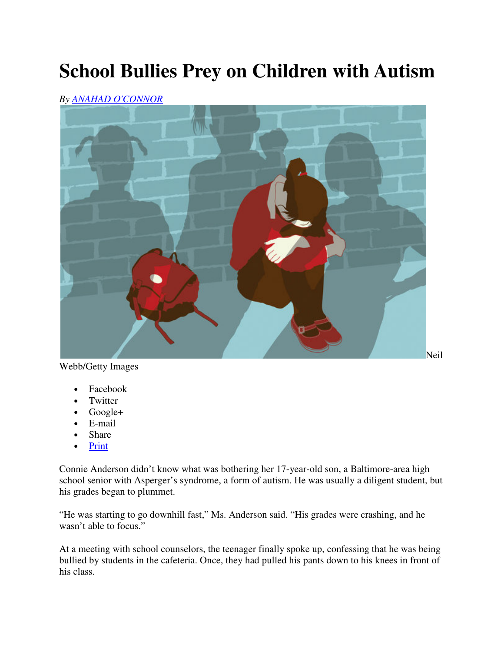# **School Bullies Prey on Children with Autism**

### *By ANAHAD O'CONNOR*



Webb/Getty Images

- Facebook
- **Twitter**
- Google+
- E-mail
- **Share**
- Print

Connie Anderson didn't know what was bothering her 17-year-old son, a Baltimore-area high school senior with Asperger's syndrome, a form of autism. He was usually a diligent student, but his grades began to plummet.

"He was starting to go downhill fast," Ms. Anderson said. "His grades were crashing, and he wasn't able to focus."

At a meeting with school counselors, the teenager finally spoke up, confessing that he was being bullied by students in the cafeteria. Once, they had pulled his pants down to his knees in front of his class.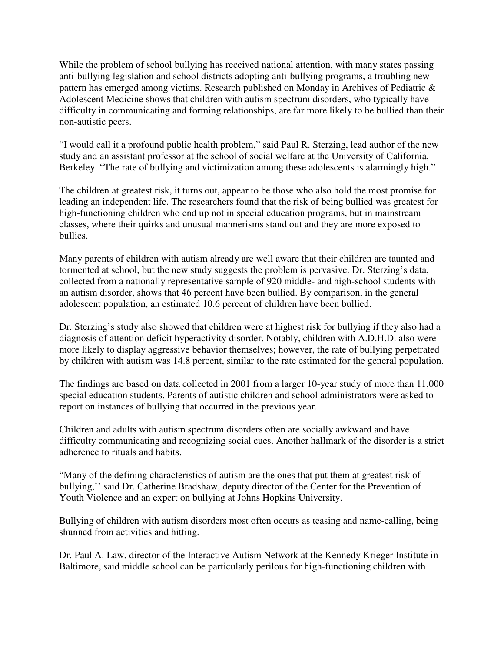While the problem of school bullying has received national attention, with many states passing anti-bullying legislation and school districts adopting anti-bullying programs, a troubling new pattern has emerged among victims. Research published on Monday in Archives of Pediatric & Adolescent Medicine shows that children with autism spectrum disorders, who typically have difficulty in communicating and forming relationships, are far more likely to be bullied than their non-autistic peers.

"I would call it a profound public health problem," said Paul R. Sterzing, lead author of the new study and an assistant professor at the school of social welfare at the University of California, Berkeley. "The rate of bullying and victimization among these adolescents is alarmingly high."

The children at greatest risk, it turns out, appear to be those who also hold the most promise for leading an independent life. The researchers found that the risk of being bullied was greatest for high-functioning children who end up not in special education programs, but in mainstream classes, where their quirks and unusual mannerisms stand out and they are more exposed to bullies.

Many parents of children with autism already are well aware that their children are taunted and tormented at school, but the new study suggests the problem is pervasive. Dr. Sterzing's data, collected from a nationally representative sample of 920 middle- and high-school students with an autism disorder, shows that 46 percent have been bullied. By comparison, in the general adolescent population, an estimated 10.6 percent of children have been bullied.

Dr. Sterzing's study also showed that children were at highest risk for bullying if they also had a diagnosis of attention deficit hyperactivity disorder. Notably, children with A.D.H.D. also were more likely to display aggressive behavior themselves; however, the rate of bullying perpetrated by children with autism was 14.8 percent, similar to the rate estimated for the general population.

The findings are based on data collected in 2001 from a larger 10-year study of more than 11,000 special education students. Parents of autistic children and school administrators were asked to report on instances of bullying that occurred in the previous year.

Children and adults with autism spectrum disorders often are socially awkward and have difficulty communicating and recognizing social cues. Another hallmark of the disorder is a strict adherence to rituals and habits.

"Many of the defining characteristics of autism are the ones that put them at greatest risk of bullying,'' said Dr. Catherine Bradshaw, deputy director of the Center for the Prevention of Youth Violence and an expert on bullying at Johns Hopkins University.

Bullying of children with autism disorders most often occurs as teasing and name-calling, being shunned from activities and hitting.

Dr. Paul A. Law, director of the Interactive Autism Network at the Kennedy Krieger Institute in Baltimore, said middle school can be particularly perilous for high-functioning children with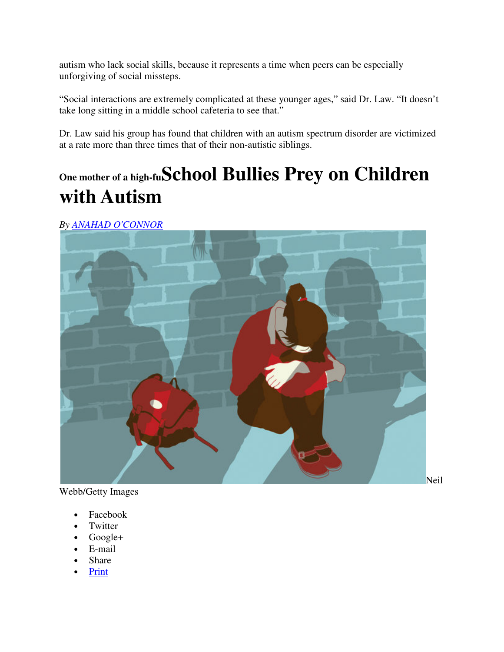autism who lack social skills, because it represents a time when peers can be especially unforgiving of social missteps.

"Social interactions are extremely complicated at these younger ages," said Dr. Law. "It doesn't take long sitting in a middle school cafeteria to see that."

Dr. Law said his group has found that children with an autism spectrum disorder are victimized at a rate more than three times that of their non-autistic siblings.

## **One mother of a high-fuSchool Bullies Prey on Children with Autism**

*By ANAHAD O'CONNOR*



Webb/Getty Images

- Facebook
- **Twitter**
- Google+
- E-mail
- **Share**
- Print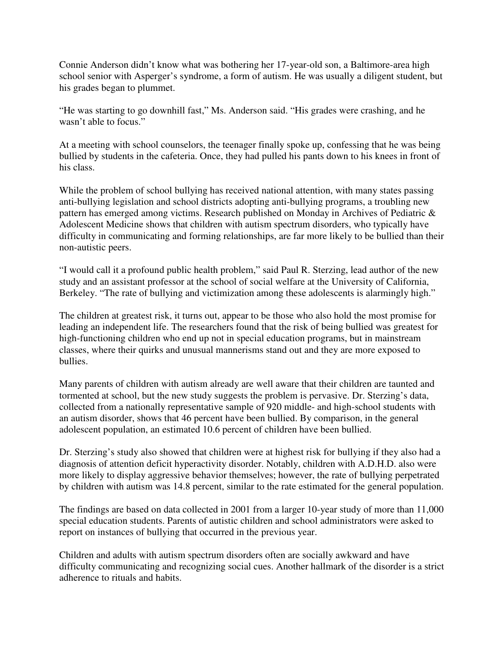Connie Anderson didn't know what was bothering her 17-year-old son, a Baltimore-area high school senior with Asperger's syndrome, a form of autism. He was usually a diligent student, but his grades began to plummet.

"He was starting to go downhill fast," Ms. Anderson said. "His grades were crashing, and he wasn't able to focus."

At a meeting with school counselors, the teenager finally spoke up, confessing that he was being bullied by students in the cafeteria. Once, they had pulled his pants down to his knees in front of his class.

While the problem of school bullying has received national attention, with many states passing anti-bullying legislation and school districts adopting anti-bullying programs, a troubling new pattern has emerged among victims. Research published on Monday in Archives of Pediatric & Adolescent Medicine shows that children with autism spectrum disorders, who typically have difficulty in communicating and forming relationships, are far more likely to be bullied than their non-autistic peers.

"I would call it a profound public health problem," said Paul R. Sterzing, lead author of the new study and an assistant professor at the school of social welfare at the University of California, Berkeley. "The rate of bullying and victimization among these adolescents is alarmingly high."

The children at greatest risk, it turns out, appear to be those who also hold the most promise for leading an independent life. The researchers found that the risk of being bullied was greatest for high-functioning children who end up not in special education programs, but in mainstream classes, where their quirks and unusual mannerisms stand out and they are more exposed to bullies.

Many parents of children with autism already are well aware that their children are taunted and tormented at school, but the new study suggests the problem is pervasive. Dr. Sterzing's data, collected from a nationally representative sample of 920 middle- and high-school students with an autism disorder, shows that 46 percent have been bullied. By comparison, in the general adolescent population, an estimated 10.6 percent of children have been bullied.

Dr. Sterzing's study also showed that children were at highest risk for bullying if they also had a diagnosis of attention deficit hyperactivity disorder. Notably, children with A.D.H.D. also were more likely to display aggressive behavior themselves; however, the rate of bullying perpetrated by children with autism was 14.8 percent, similar to the rate estimated for the general population.

The findings are based on data collected in 2001 from a larger 10-year study of more than 11,000 special education students. Parents of autistic children and school administrators were asked to report on instances of bullying that occurred in the previous year.

Children and adults with autism spectrum disorders often are socially awkward and have difficulty communicating and recognizing social cues. Another hallmark of the disorder is a strict adherence to rituals and habits.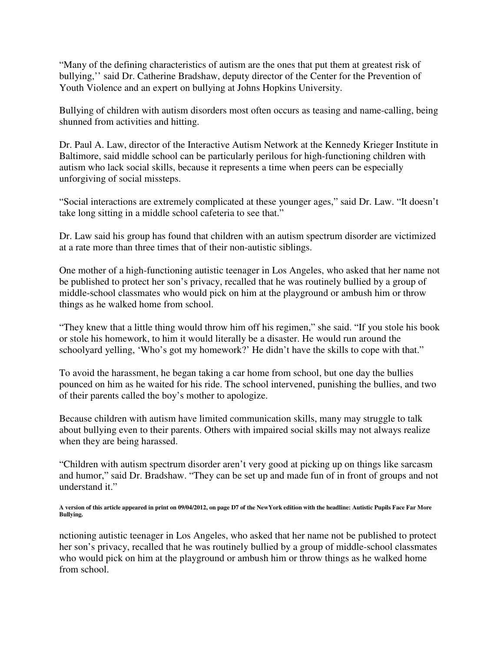"Many of the defining characteristics of autism are the ones that put them at greatest risk of bullying,'' said Dr. Catherine Bradshaw, deputy director of the Center for the Prevention of Youth Violence and an expert on bullying at Johns Hopkins University.

Bullying of children with autism disorders most often occurs as teasing and name-calling, being shunned from activities and hitting.

Dr. Paul A. Law, director of the Interactive Autism Network at the Kennedy Krieger Institute in Baltimore, said middle school can be particularly perilous for high-functioning children with autism who lack social skills, because it represents a time when peers can be especially unforgiving of social missteps.

"Social interactions are extremely complicated at these younger ages," said Dr. Law. "It doesn't take long sitting in a middle school cafeteria to see that."

Dr. Law said his group has found that children with an autism spectrum disorder are victimized at a rate more than three times that of their non-autistic siblings.

One mother of a high-functioning autistic teenager in Los Angeles, who asked that her name not be published to protect her son's privacy, recalled that he was routinely bullied by a group of middle-school classmates who would pick on him at the playground or ambush him or throw things as he walked home from school.

"They knew that a little thing would throw him off his regimen," she said. "If you stole his book or stole his homework, to him it would literally be a disaster. He would run around the schoolyard yelling, 'Who's got my homework?' He didn't have the skills to cope with that."

To avoid the harassment, he began taking a car home from school, but one day the bullies pounced on him as he waited for his ride. The school intervened, punishing the bullies, and two of their parents called the boy's mother to apologize.

Because children with autism have limited communication skills, many may struggle to talk about bullying even to their parents. Others with impaired social skills may not always realize when they are being harassed.

"Children with autism spectrum disorder aren't very good at picking up on things like sarcasm and humor," said Dr. Bradshaw. "They can be set up and made fun of in front of groups and not understand it."

#### **A version of this article appeared in print on 09/04/2012, on page D7 of the NewYork edition with the headline: Autistic Pupils Face Far More Bullying.**

nctioning autistic teenager in Los Angeles, who asked that her name not be published to protect her son's privacy, recalled that he was routinely bullied by a group of middle-school classmates who would pick on him at the playground or ambush him or throw things as he walked home from school.